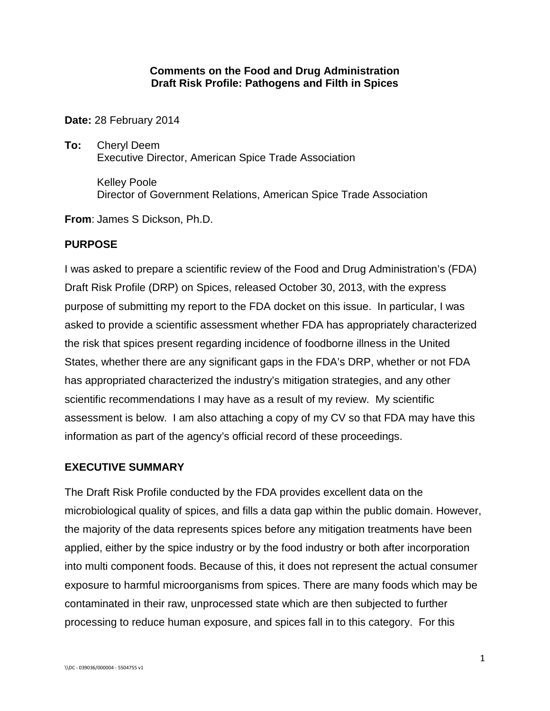### **Comments on the Food and Drug Administration Draft Risk Profile: Pathogens and Filth in Spices**

**Date:** 28 February 2014

**To:** Cheryl Deem Executive Director, American Spice Trade Association

> Kelley Poole Director of Government Relations, American Spice Trade Association

**From**: James S Dickson, Ph.D.

## **PURPOSE**

I was asked to prepare a scientific review of the Food and Drug Administration's (FDA) Draft Risk Profile (DRP) on Spices, released October 30, 2013, with the express purpose of submitting my report to the FDA docket on this issue. In particular, I was asked to provide a scientific assessment whether FDA has appropriately characterized the risk that spices present regarding incidence of foodborne illness in the United States, whether there are any significant gaps in the FDA's DRP, whether or not FDA has appropriated characterized the industry's mitigation strategies, and any other scientific recommendations I may have as a result of my review. My scientific assessment is below. I am also attaching a copy of my CV so that FDA may have this information as part of the agency's official record of these proceedings.

## **EXECUTIVE SUMMARY**

The Draft Risk Profile conducted by the FDA provides excellent data on the microbiological quality of spices, and fills a data gap within the public domain. However, the majority of the data represents spices before any mitigation treatments have been applied, either by the spice industry or by the food industry or both after incorporation into multi component foods. Because of this, it does not represent the actual consumer exposure to harmful microorganisms from spices. There are many foods which may be contaminated in their raw, unprocessed state which are then subjected to further processing to reduce human exposure, and spices fall in to this category. For this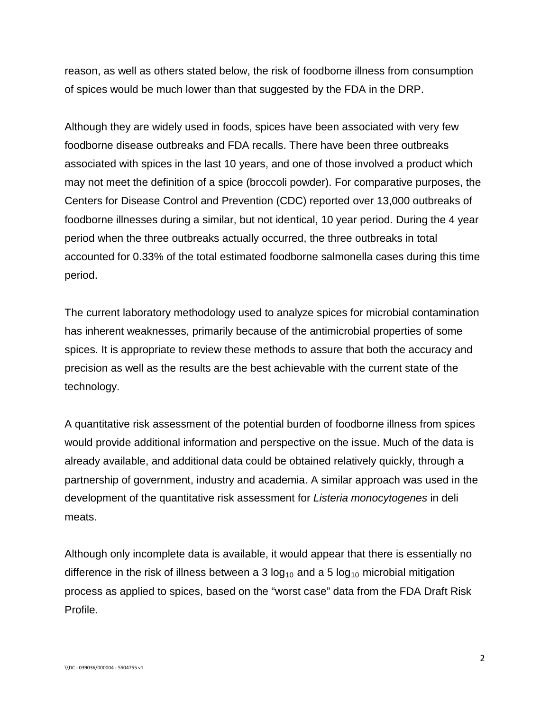reason, as well as others stated below, the risk of foodborne illness from consumption of spices would be much lower than that suggested by the FDA in the DRP.

Although they are widely used in foods, spices have been associated with very few foodborne disease outbreaks and FDA recalls. There have been three outbreaks associated with spices in the last 10 years, and one of those involved a product which may not meet the definition of a spice (broccoli powder). For comparative purposes, the Centers for Disease Control and Prevention (CDC) reported over 13,000 outbreaks of foodborne illnesses during a similar, but not identical, 10 year period. During the 4 year period when the three outbreaks actually occurred, the three outbreaks in total accounted for 0.33% of the total estimated foodborne salmonella cases during this time period.

The current laboratory methodology used to analyze spices for microbial contamination has inherent weaknesses, primarily because of the antimicrobial properties of some spices. It is appropriate to review these methods to assure that both the accuracy and precision as well as the results are the best achievable with the current state of the technology.

A quantitative risk assessment of the potential burden of foodborne illness from spices would provide additional information and perspective on the issue. Much of the data is already available, and additional data could be obtained relatively quickly, through a partnership of government, industry and academia. A similar approach was used in the development of the quantitative risk assessment for *Listeria monocytogenes* in deli meats.

Although only incomplete data is available, it would appear that there is essentially no difference in the risk of illness between a 3  $log_{10}$  and a 5  $log_{10}$  microbial mitigation process as applied to spices, based on the "worst case" data from the FDA Draft Risk Profile.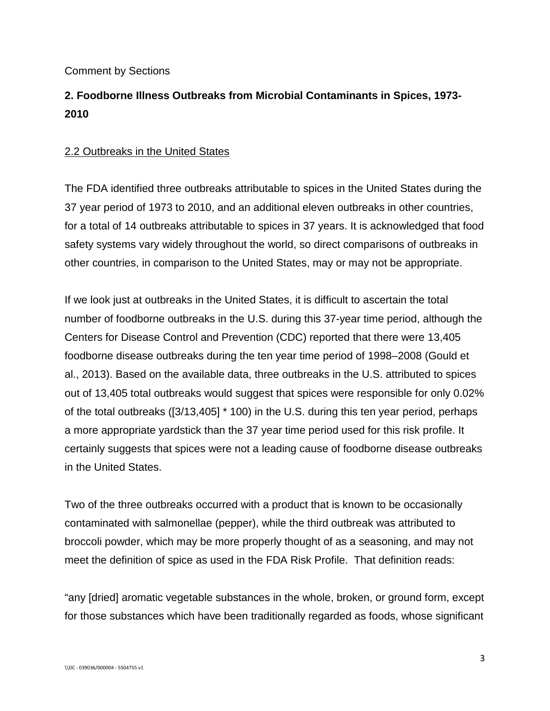Comment by Sections

# **2. Foodborne Illness Outbreaks from Microbial Contaminants in Spices, 1973- 2010**

## 2.2 Outbreaks in the United States

The FDA identified three outbreaks attributable to spices in the United States during the 37 year period of 1973 to 2010, and an additional eleven outbreaks in other countries, for a total of 14 outbreaks attributable to spices in 37 years. It is acknowledged that food safety systems vary widely throughout the world, so direct comparisons of outbreaks in other countries, in comparison to the United States, may or may not be appropriate.

If we look just at outbreaks in the United States, it is difficult to ascertain the total number of foodborne outbreaks in the U.S. during this 37-year time period, although the Centers for Disease Control and Prevention (CDC) reported that there were 13,405 foodborne disease outbreaks during the ten year time period of 1998–2008 (Gould et al., 2013). Based on the available data, three outbreaks in the U.S. attributed to spices out of 13,405 total outbreaks would suggest that spices were responsible for only 0.02% of the total outbreaks ([3/13,405] \* 100) in the U.S. during this ten year period, perhaps a more appropriate yardstick than the 37 year time period used for this risk profile. It certainly suggests that spices were not a leading cause of foodborne disease outbreaks in the United States.

Two of the three outbreaks occurred with a product that is known to be occasionally contaminated with salmonellae (pepper), while the third outbreak was attributed to broccoli powder, which may be more properly thought of as a seasoning, and may not meet the definition of spice as used in the FDA Risk Profile. That definition reads:

"any [dried] aromatic vegetable substances in the whole, broken, or ground form, except for those substances which have been traditionally regarded as foods, whose significant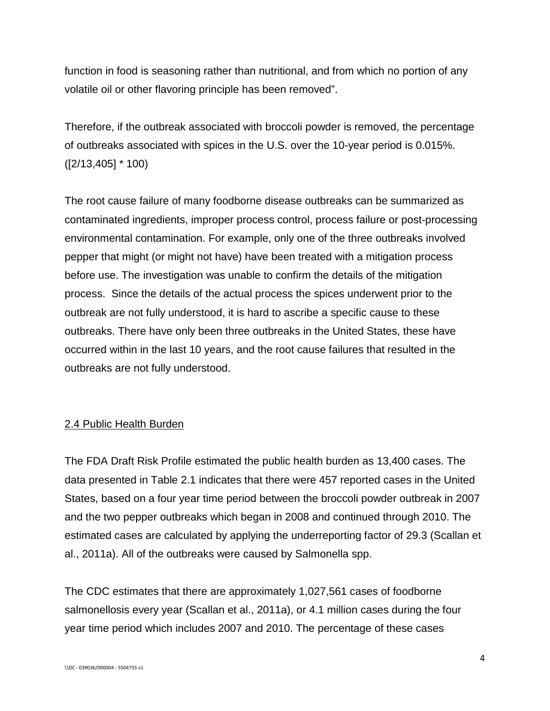function in food is seasoning rather than nutritional, and from which no portion of any volatile oil or other flavoring principle has been removed".

Therefore, if the outbreak associated with broccoli powder is removed, the percentage of outbreaks associated with spices in the U.S. over the 10-year period is 0.015%. ([2/13,405] \* 100)

The root cause failure of many foodborne disease outbreaks can be summarized as contaminated ingredients, improper process control, process failure or post-processing environmental contamination. For example, only one of the three outbreaks involved pepper that might (or might not have) have been treated with a mitigation process before use. The investigation was unable to confirm the details of the mitigation process. Since the details of the actual process the spices underwent prior to the outbreak are not fully understood, it is hard to ascribe a specific cause to these outbreaks. There have only been three outbreaks in the United States, these have occurred within in the last 10 years, and the root cause failures that resulted in the outbreaks are not fully understood.

## 2.4 Public Health Burden

The FDA Draft Risk Profile estimated the public health burden as 13,400 cases. The data presented in Table 2.1 indicates that there were 457 reported cases in the United States, based on a four year time period between the broccoli powder outbreak in 2007 and the two pepper outbreaks which began in 2008 and continued through 2010. The estimated cases are calculated by applying the underreporting factor of 29.3 (Scallan et al., 2011a). All of the outbreaks were caused by Salmonella spp.

The CDC estimates that there are approximately 1,027,561 cases of foodborne salmonellosis every year (Scallan et al., 2011a), or 4.1 million cases during the four year time period which includes 2007 and 2010. The percentage of these cases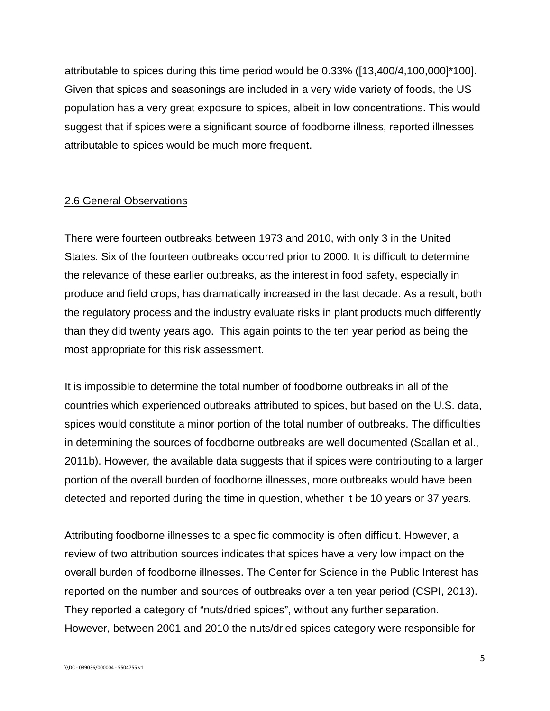attributable to spices during this time period would be 0.33% ([13,400/4,100,000]\*100]. Given that spices and seasonings are included in a very wide variety of foods, the US population has a very great exposure to spices, albeit in low concentrations. This would suggest that if spices were a significant source of foodborne illness, reported illnesses attributable to spices would be much more frequent.

### 2.6 General Observations

There were fourteen outbreaks between 1973 and 2010, with only 3 in the United States. Six of the fourteen outbreaks occurred prior to 2000. It is difficult to determine the relevance of these earlier outbreaks, as the interest in food safety, especially in produce and field crops, has dramatically increased in the last decade. As a result, both the regulatory process and the industry evaluate risks in plant products much differently than they did twenty years ago. This again points to the ten year period as being the most appropriate for this risk assessment.

It is impossible to determine the total number of foodborne outbreaks in all of the countries which experienced outbreaks attributed to spices, but based on the U.S. data, spices would constitute a minor portion of the total number of outbreaks. The difficulties in determining the sources of foodborne outbreaks are well documented (Scallan et al., 2011b). However, the available data suggests that if spices were contributing to a larger portion of the overall burden of foodborne illnesses, more outbreaks would have been detected and reported during the time in question, whether it be 10 years or 37 years.

Attributing foodborne illnesses to a specific commodity is often difficult. However, a review of two attribution sources indicates that spices have a very low impact on the overall burden of foodborne illnesses. The Center for Science in the Public Interest has reported on the number and sources of outbreaks over a ten year period (CSPI, 2013). They reported a category of "nuts/dried spices", without any further separation. However, between 2001 and 2010 the nuts/dried spices category were responsible for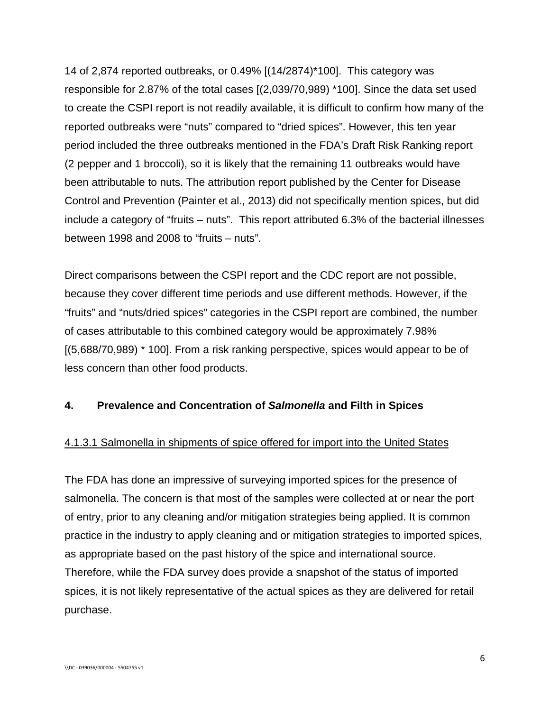14 of 2,874 reported outbreaks, or 0.49% [(14/2874)\*100]. This category was responsible for 2.87% of the total cases [(2,039/70,989) \*100]. Since the data set used to create the CSPI report is not readily available, it is difficult to confirm how many of the reported outbreaks were "nuts" compared to "dried spices". However, this ten year period included the three outbreaks mentioned in the FDA's Draft Risk Ranking report (2 pepper and 1 broccoli), so it is likely that the remaining 11 outbreaks would have been attributable to nuts. The attribution report published by the Center for Disease Control and Prevention (Painter et al., 2013) did not specifically mention spices, but did include a category of "fruits – nuts". This report attributed 6.3% of the bacterial illnesses between 1998 and 2008 to "fruits – nuts".

Direct comparisons between the CSPI report and the CDC report are not possible, because they cover different time periods and use different methods. However, if the "fruits" and "nuts/dried spices" categories in the CSPI report are combined, the number of cases attributable to this combined category would be approximately 7.98% [(5,688/70,989) \* 100]. From a risk ranking perspective, spices would appear to be of less concern than other food products.

## **4. Prevalence and Concentration of** *Salmonella* **and Filth in Spices**

## 4.1.3.1 Salmonella in shipments of spice offered for import into the United States

The FDA has done an impressive of surveying imported spices for the presence of salmonella. The concern is that most of the samples were collected at or near the port of entry, prior to any cleaning and/or mitigation strategies being applied. It is common practice in the industry to apply cleaning and or mitigation strategies to imported spices, as appropriate based on the past history of the spice and international source. Therefore, while the FDA survey does provide a snapshot of the status of imported spices, it is not likely representative of the actual spices as they are delivered for retail purchase.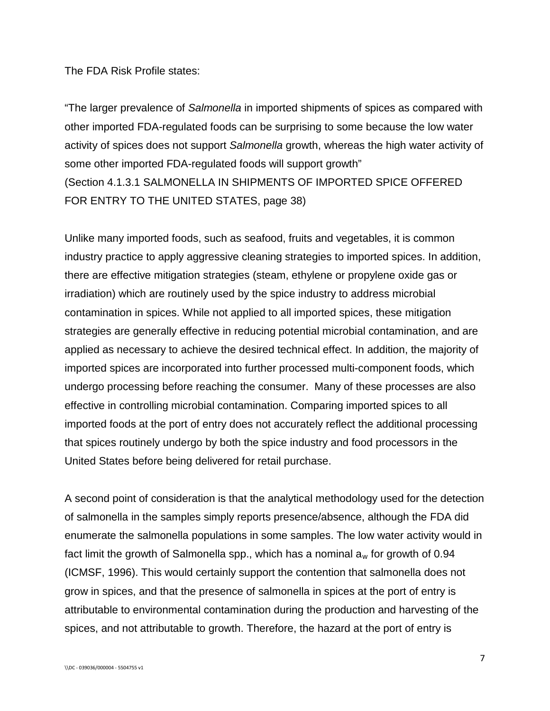The FDA Risk Profile states:

"The larger prevalence of *Salmonella* in imported shipments of spices as compared with other imported FDA-regulated foods can be surprising to some because the low water activity of spices does not support *Salmonella* growth, whereas the high water activity of some other imported FDA-regulated foods will support growth" (Section 4.1.3.1 SALMONELLA IN SHIPMENTS OF IMPORTED SPICE OFFERED FOR ENTRY TO THE UNITED STATES, page 38)

Unlike many imported foods, such as seafood, fruits and vegetables, it is common industry practice to apply aggressive cleaning strategies to imported spices. In addition, there are effective mitigation strategies (steam, ethylene or propylene oxide gas or irradiation) which are routinely used by the spice industry to address microbial contamination in spices. While not applied to all imported spices, these mitigation strategies are generally effective in reducing potential microbial contamination, and are applied as necessary to achieve the desired technical effect. In addition, the majority of imported spices are incorporated into further processed multi-component foods, which undergo processing before reaching the consumer. Many of these processes are also effective in controlling microbial contamination. Comparing imported spices to all imported foods at the port of entry does not accurately reflect the additional processing that spices routinely undergo by both the spice industry and food processors in the United States before being delivered for retail purchase.

A second point of consideration is that the analytical methodology used for the detection of salmonella in the samples simply reports presence/absence, although the FDA did enumerate the salmonella populations in some samples. The low water activity would in fact limit the growth of Salmonella spp., which has a nominal  $a_w$  for growth of 0.94 (ICMSF, 1996). This would certainly support the contention that salmonella does not grow in spices, and that the presence of salmonella in spices at the port of entry is attributable to environmental contamination during the production and harvesting of the spices, and not attributable to growth. Therefore, the hazard at the port of entry is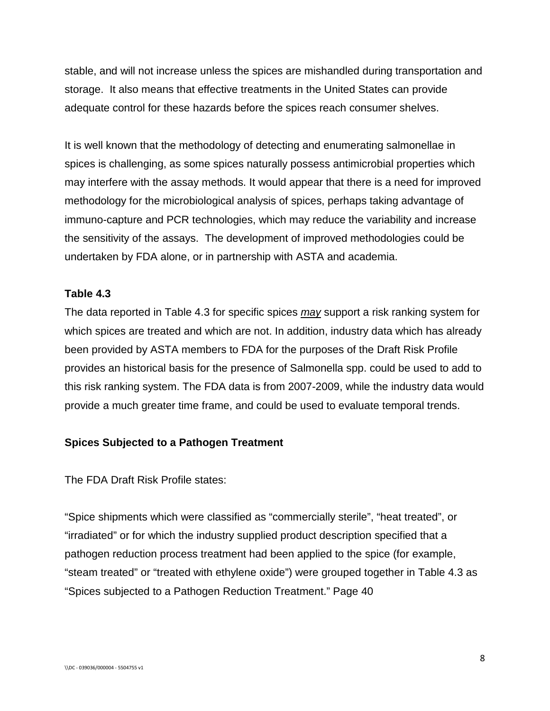stable, and will not increase unless the spices are mishandled during transportation and storage. It also means that effective treatments in the United States can provide adequate control for these hazards before the spices reach consumer shelves.

It is well known that the methodology of detecting and enumerating salmonellae in spices is challenging, as some spices naturally possess antimicrobial properties which may interfere with the assay methods. It would appear that there is a need for improved methodology for the microbiological analysis of spices, perhaps taking advantage of immuno-capture and PCR technologies, which may reduce the variability and increase the sensitivity of the assays. The development of improved methodologies could be undertaken by FDA alone, or in partnership with ASTA and academia.

### **Table 4.3**

The data reported in Table 4.3 for specific spices *may* support a risk ranking system for which spices are treated and which are not. In addition, industry data which has already been provided by ASTA members to FDA for the purposes of the Draft Risk Profile provides an historical basis for the presence of Salmonella spp. could be used to add to this risk ranking system. The FDA data is from 2007-2009, while the industry data would provide a much greater time frame, and could be used to evaluate temporal trends.

#### **Spices Subjected to a Pathogen Treatment**

The FDA Draft Risk Profile states:

"Spice shipments which were classified as "commercially sterile", "heat treated", or "irradiated" or for which the industry supplied product description specified that a pathogen reduction process treatment had been applied to the spice (for example, "steam treated" or "treated with ethylene oxide") were grouped together in Table 4.3 as "Spices subjected to a Pathogen Reduction Treatment." Page 40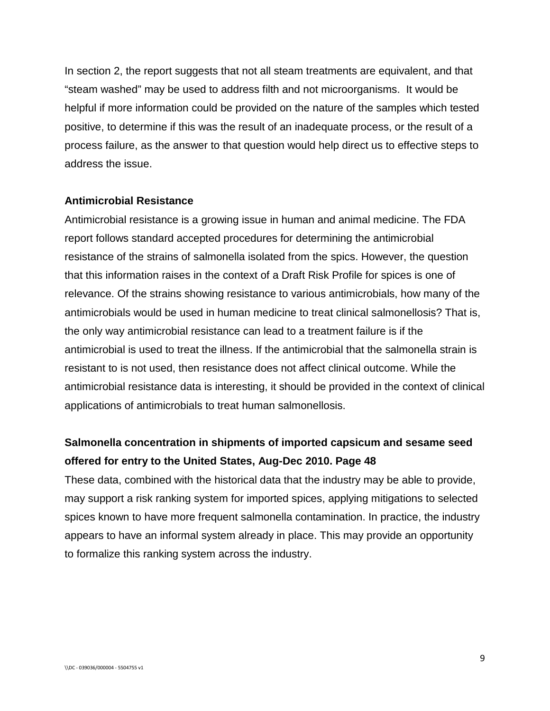In section 2, the report suggests that not all steam treatments are equivalent, and that "steam washed" may be used to address filth and not microorganisms. It would be helpful if more information could be provided on the nature of the samples which tested positive, to determine if this was the result of an inadequate process, or the result of a process failure, as the answer to that question would help direct us to effective steps to address the issue.

#### **Antimicrobial Resistance**

Antimicrobial resistance is a growing issue in human and animal medicine. The FDA report follows standard accepted procedures for determining the antimicrobial resistance of the strains of salmonella isolated from the spics. However, the question that this information raises in the context of a Draft Risk Profile for spices is one of relevance. Of the strains showing resistance to various antimicrobials, how many of the antimicrobials would be used in human medicine to treat clinical salmonellosis? That is, the only way antimicrobial resistance can lead to a treatment failure is if the antimicrobial is used to treat the illness. If the antimicrobial that the salmonella strain is resistant to is not used, then resistance does not affect clinical outcome. While the antimicrobial resistance data is interesting, it should be provided in the context of clinical applications of antimicrobials to treat human salmonellosis.

# **Salmonella concentration in shipments of imported capsicum and sesame seed offered for entry to the United States, Aug-Dec 2010. Page 48**

These data, combined with the historical data that the industry may be able to provide, may support a risk ranking system for imported spices, applying mitigations to selected spices known to have more frequent salmonella contamination. In practice, the industry appears to have an informal system already in place. This may provide an opportunity to formalize this ranking system across the industry.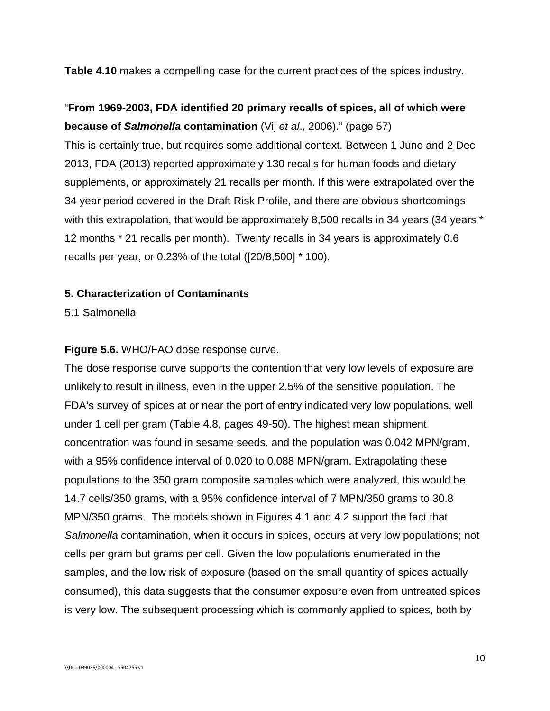**Table 4.10** makes a compelling case for the current practices of the spices industry.

# "**From 1969-2003, FDA identified 20 primary recalls of spices, all of which were because of** *Salmonella* **contamination** (Vij *et al*., 2006)." (page 57)

This is certainly true, but requires some additional context. Between 1 June and 2 Dec 2013, FDA (2013) reported approximately 130 recalls for human foods and dietary supplements, or approximately 21 recalls per month. If this were extrapolated over the 34 year period covered in the Draft Risk Profile, and there are obvious shortcomings with this extrapolation, that would be approximately 8,500 recalls in 34 years (34 years  $*$ 12 months \* 21 recalls per month). Twenty recalls in 34 years is approximately 0.6 recalls per year, or 0.23% of the total ([20/8,500] \* 100).

### **5. Characterization of Contaminants**

5.1 Salmonella

### **Figure 5.6.** WHO/FAO dose response curve.

The dose response curve supports the contention that very low levels of exposure are unlikely to result in illness, even in the upper 2.5% of the sensitive population. The FDA's survey of spices at or near the port of entry indicated very low populations, well under 1 cell per gram (Table 4.8, pages 49-50). The highest mean shipment concentration was found in sesame seeds, and the population was 0.042 MPN/gram, with a 95% confidence interval of 0.020 to 0.088 MPN/gram. Extrapolating these populations to the 350 gram composite samples which were analyzed, this would be 14.7 cells/350 grams, with a 95% confidence interval of 7 MPN/350 grams to 30.8 MPN/350 grams. The models shown in Figures 4.1 and 4.2 support the fact that *Salmonella* contamination, when it occurs in spices, occurs at very low populations; not cells per gram but grams per cell. Given the low populations enumerated in the samples, and the low risk of exposure (based on the small quantity of spices actually consumed), this data suggests that the consumer exposure even from untreated spices is very low. The subsequent processing which is commonly applied to spices, both by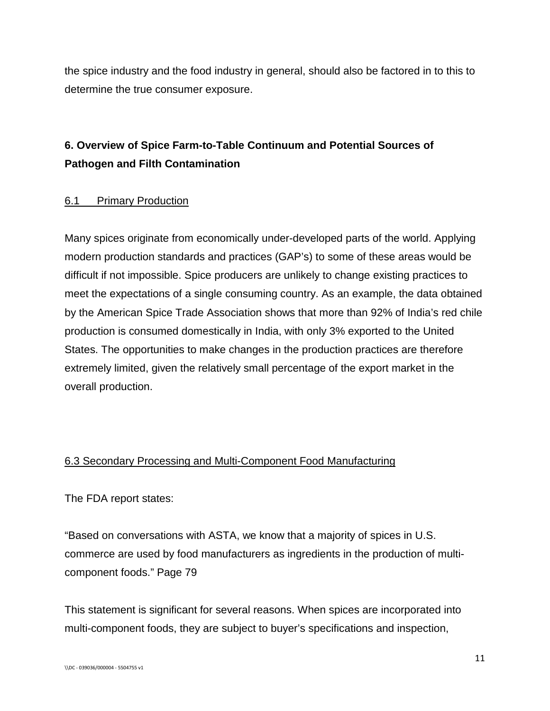the spice industry and the food industry in general, should also be factored in to this to determine the true consumer exposure.

# **6. Overview of Spice Farm-to-Table Continuum and Potential Sources of Pathogen and Filth Contamination**

## 6.1 Primary Production

Many spices originate from economically under-developed parts of the world. Applying modern production standards and practices (GAP's) to some of these areas would be difficult if not impossible. Spice producers are unlikely to change existing practices to meet the expectations of a single consuming country. As an example, the data obtained by the American Spice Trade Association shows that more than 92% of India's red chile production is consumed domestically in India, with only 3% exported to the United States. The opportunities to make changes in the production practices are therefore extremely limited, given the relatively small percentage of the export market in the overall production.

# 6.3 Secondary Processing and Multi-Component Food Manufacturing

The FDA report states:

"Based on conversations with ASTA, we know that a majority of spices in U.S. commerce are used by food manufacturers as ingredients in the production of multicomponent foods." Page 79

This statement is significant for several reasons. When spices are incorporated into multi-component foods, they are subject to buyer's specifications and inspection,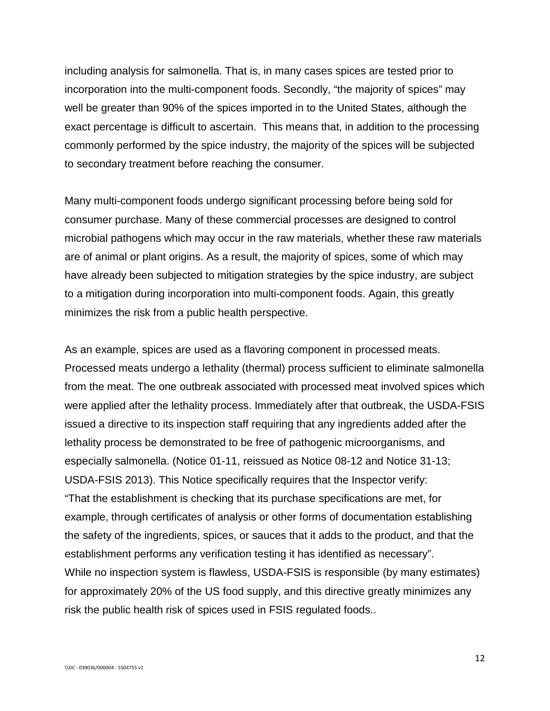including analysis for salmonella. That is, in many cases spices are tested prior to incorporation into the multi-component foods. Secondly, "the majority of spices" may well be greater than 90% of the spices imported in to the United States, although the exact percentage is difficult to ascertain. This means that, in addition to the processing commonly performed by the spice industry, the majority of the spices will be subjected to secondary treatment before reaching the consumer.

Many multi-component foods undergo significant processing before being sold for consumer purchase. Many of these commercial processes are designed to control microbial pathogens which may occur in the raw materials, whether these raw materials are of animal or plant origins. As a result, the majority of spices, some of which may have already been subjected to mitigation strategies by the spice industry, are subject to a mitigation during incorporation into multi-component foods. Again, this greatly minimizes the risk from a public health perspective.

As an example, spices are used as a flavoring component in processed meats. Processed meats undergo a lethality (thermal) process sufficient to eliminate salmonella from the meat. The one outbreak associated with processed meat involved spices which were applied after the lethality process. Immediately after that outbreak, the USDA-FSIS issued a directive to its inspection staff requiring that any ingredients added after the lethality process be demonstrated to be free of pathogenic microorganisms, and especially salmonella. (Notice 01-11, reissued as Notice 08-12 and Notice 31-13; USDA-FSIS 2013). This Notice specifically requires that the Inspector verify: "That the establishment is checking that its purchase specifications are met, for example, through certificates of analysis or other forms of documentation establishing the safety of the ingredients, spices, or sauces that it adds to the product, and that the establishment performs any verification testing it has identified as necessary". While no inspection system is flawless, USDA-FSIS is responsible (by many estimates) for approximately 20% of the US food supply, and this directive greatly minimizes any risk the public health risk of spices used in FSIS regulated foods..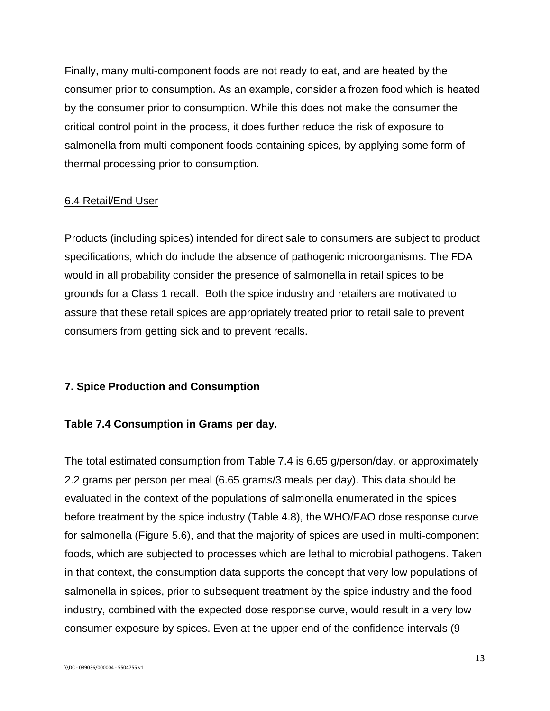Finally, many multi-component foods are not ready to eat, and are heated by the consumer prior to consumption. As an example, consider a frozen food which is heated by the consumer prior to consumption. While this does not make the consumer the critical control point in the process, it does further reduce the risk of exposure to salmonella from multi-component foods containing spices, by applying some form of thermal processing prior to consumption.

### 6.4 Retail/End User

Products (including spices) intended for direct sale to consumers are subject to product specifications, which do include the absence of pathogenic microorganisms. The FDA would in all probability consider the presence of salmonella in retail spices to be grounds for a Class 1 recall. Both the spice industry and retailers are motivated to assure that these retail spices are appropriately treated prior to retail sale to prevent consumers from getting sick and to prevent recalls.

## **7. Spice Production and Consumption**

## **Table 7.4 Consumption in Grams per day.**

The total estimated consumption from Table 7.4 is 6.65 g/person/day, or approximately 2.2 grams per person per meal (6.65 grams/3 meals per day). This data should be evaluated in the context of the populations of salmonella enumerated in the spices before treatment by the spice industry (Table 4.8), the WHO/FAO dose response curve for salmonella (Figure 5.6), and that the majority of spices are used in multi-component foods, which are subjected to processes which are lethal to microbial pathogens. Taken in that context, the consumption data supports the concept that very low populations of salmonella in spices, prior to subsequent treatment by the spice industry and the food industry, combined with the expected dose response curve, would result in a very low consumer exposure by spices. Even at the upper end of the confidence intervals (9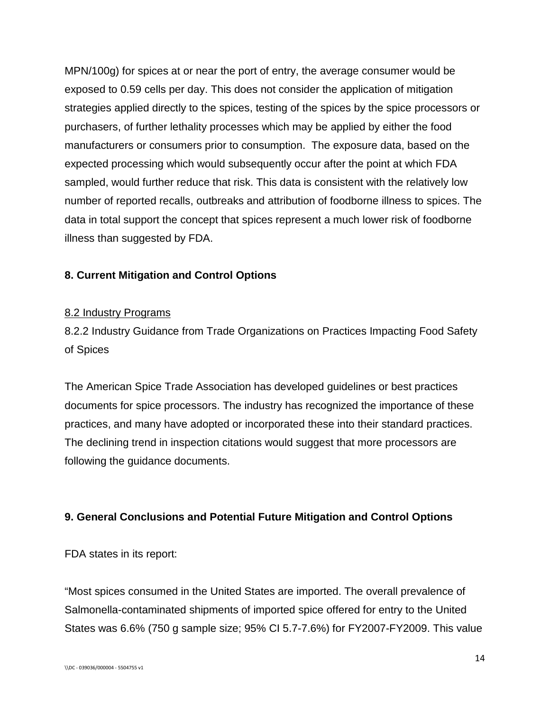MPN/100g) for spices at or near the port of entry, the average consumer would be exposed to 0.59 cells per day. This does not consider the application of mitigation strategies applied directly to the spices, testing of the spices by the spice processors or purchasers, of further lethality processes which may be applied by either the food manufacturers or consumers prior to consumption. The exposure data, based on the expected processing which would subsequently occur after the point at which FDA sampled, would further reduce that risk. This data is consistent with the relatively low number of reported recalls, outbreaks and attribution of foodborne illness to spices. The data in total support the concept that spices represent a much lower risk of foodborne illness than suggested by FDA.

## **8. Current Mitigation and Control Options**

### 8.2 Industry Programs

8.2.2 Industry Guidance from Trade Organizations on Practices Impacting Food Safety of Spices

The American Spice Trade Association has developed guidelines or best practices documents for spice processors. The industry has recognized the importance of these practices, and many have adopted or incorporated these into their standard practices. The declining trend in inspection citations would suggest that more processors are following the guidance documents.

## **9. General Conclusions and Potential Future Mitigation and Control Options**

FDA states in its report:

"Most spices consumed in the United States are imported. The overall prevalence of Salmonella-contaminated shipments of imported spice offered for entry to the United States was 6.6% (750 g sample size; 95% CI 5.7-7.6%) for FY2007-FY2009. This value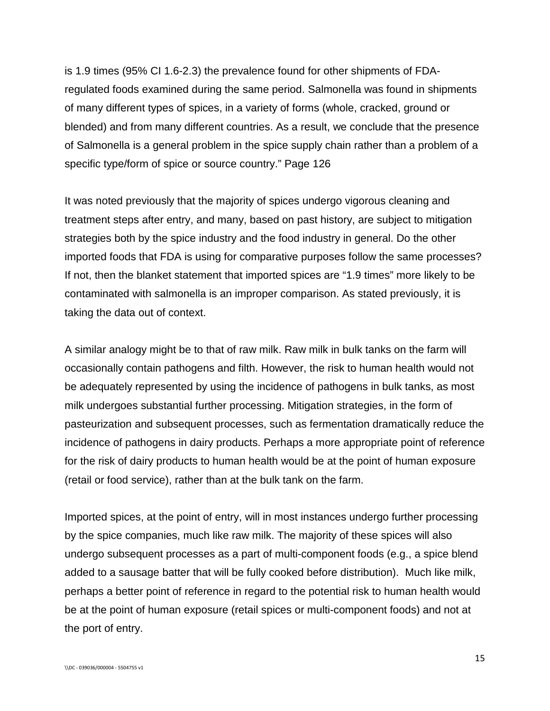is 1.9 times (95% CI 1.6-2.3) the prevalence found for other shipments of FDAregulated foods examined during the same period. Salmonella was found in shipments of many different types of spices, in a variety of forms (whole, cracked, ground or blended) and from many different countries. As a result, we conclude that the presence of Salmonella is a general problem in the spice supply chain rather than a problem of a specific type/form of spice or source country." Page 126

It was noted previously that the majority of spices undergo vigorous cleaning and treatment steps after entry, and many, based on past history, are subject to mitigation strategies both by the spice industry and the food industry in general. Do the other imported foods that FDA is using for comparative purposes follow the same processes? If not, then the blanket statement that imported spices are "1.9 times" more likely to be contaminated with salmonella is an improper comparison. As stated previously, it is taking the data out of context.

A similar analogy might be to that of raw milk. Raw milk in bulk tanks on the farm will occasionally contain pathogens and filth. However, the risk to human health would not be adequately represented by using the incidence of pathogens in bulk tanks, as most milk undergoes substantial further processing. Mitigation strategies, in the form of pasteurization and subsequent processes, such as fermentation dramatically reduce the incidence of pathogens in dairy products. Perhaps a more appropriate point of reference for the risk of dairy products to human health would be at the point of human exposure (retail or food service), rather than at the bulk tank on the farm.

Imported spices, at the point of entry, will in most instances undergo further processing by the spice companies, much like raw milk. The majority of these spices will also undergo subsequent processes as a part of multi-component foods (e.g., a spice blend added to a sausage batter that will be fully cooked before distribution). Much like milk, perhaps a better point of reference in regard to the potential risk to human health would be at the point of human exposure (retail spices or multi-component foods) and not at the port of entry.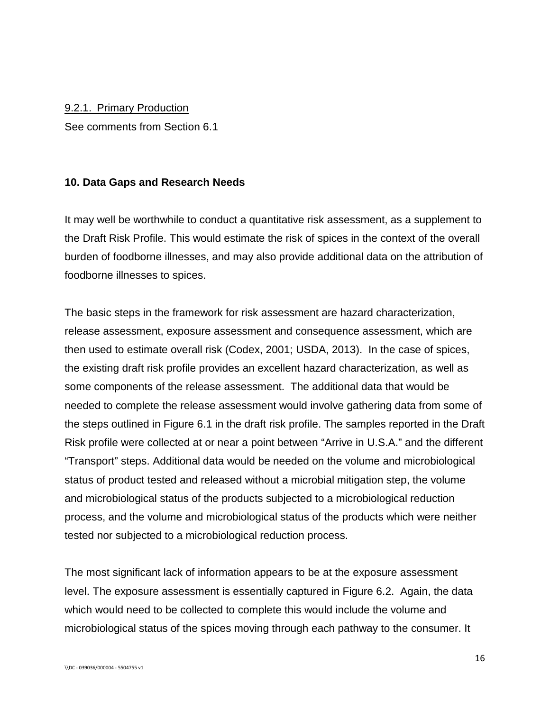#### 9.2.1. Primary Production

See comments from Section 6.1

### **10. Data Gaps and Research Needs**

It may well be worthwhile to conduct a quantitative risk assessment, as a supplement to the Draft Risk Profile. This would estimate the risk of spices in the context of the overall burden of foodborne illnesses, and may also provide additional data on the attribution of foodborne illnesses to spices.

The basic steps in the framework for risk assessment are hazard characterization, release assessment, exposure assessment and consequence assessment, which are then used to estimate overall risk (Codex, 2001; USDA, 2013). In the case of spices, the existing draft risk profile provides an excellent hazard characterization, as well as some components of the release assessment. The additional data that would be needed to complete the release assessment would involve gathering data from some of the steps outlined in Figure 6.1 in the draft risk profile. The samples reported in the Draft Risk profile were collected at or near a point between "Arrive in U.S.A." and the different "Transport" steps. Additional data would be needed on the volume and microbiological status of product tested and released without a microbial mitigation step, the volume and microbiological status of the products subjected to a microbiological reduction process, and the volume and microbiological status of the products which were neither tested nor subjected to a microbiological reduction process.

The most significant lack of information appears to be at the exposure assessment level. The exposure assessment is essentially captured in Figure 6.2. Again, the data which would need to be collected to complete this would include the volume and microbiological status of the spices moving through each pathway to the consumer. It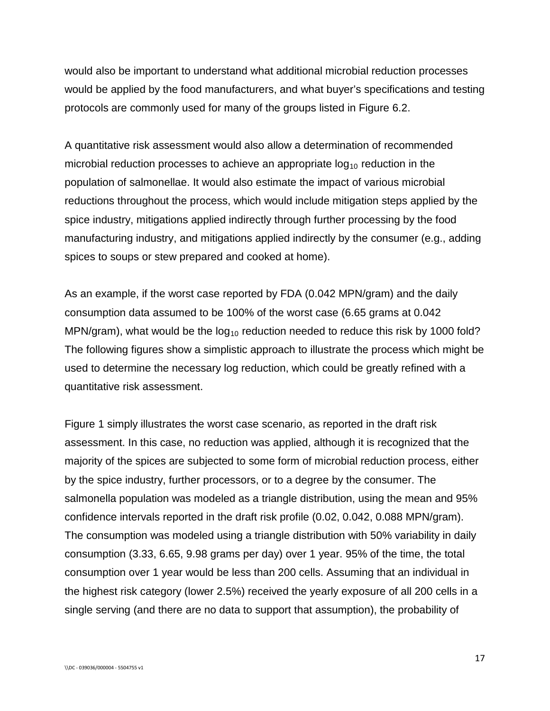would also be important to understand what additional microbial reduction processes would be applied by the food manufacturers, and what buyer's specifications and testing protocols are commonly used for many of the groups listed in Figure 6.2.

A quantitative risk assessment would also allow a determination of recommended microbial reduction processes to achieve an appropriate  $log_{10}$  reduction in the population of salmonellae. It would also estimate the impact of various microbial reductions throughout the process, which would include mitigation steps applied by the spice industry, mitigations applied indirectly through further processing by the food manufacturing industry, and mitigations applied indirectly by the consumer (e.g., adding spices to soups or stew prepared and cooked at home).

As an example, if the worst case reported by FDA (0.042 MPN/gram) and the daily consumption data assumed to be 100% of the worst case (6.65 grams at 0.042 MPN/gram), what would be the  $log_{10}$  reduction needed to reduce this risk by 1000 fold? The following figures show a simplistic approach to illustrate the process which might be used to determine the necessary log reduction, which could be greatly refined with a quantitative risk assessment.

Figure 1 simply illustrates the worst case scenario, as reported in the draft risk assessment. In this case, no reduction was applied, although it is recognized that the majority of the spices are subjected to some form of microbial reduction process, either by the spice industry, further processors, or to a degree by the consumer. The salmonella population was modeled as a triangle distribution, using the mean and 95% confidence intervals reported in the draft risk profile (0.02, 0.042, 0.088 MPN/gram). The consumption was modeled using a triangle distribution with 50% variability in daily consumption (3.33, 6.65, 9.98 grams per day) over 1 year. 95% of the time, the total consumption over 1 year would be less than 200 cells. Assuming that an individual in the highest risk category (lower 2.5%) received the yearly exposure of all 200 cells in a single serving (and there are no data to support that assumption), the probability of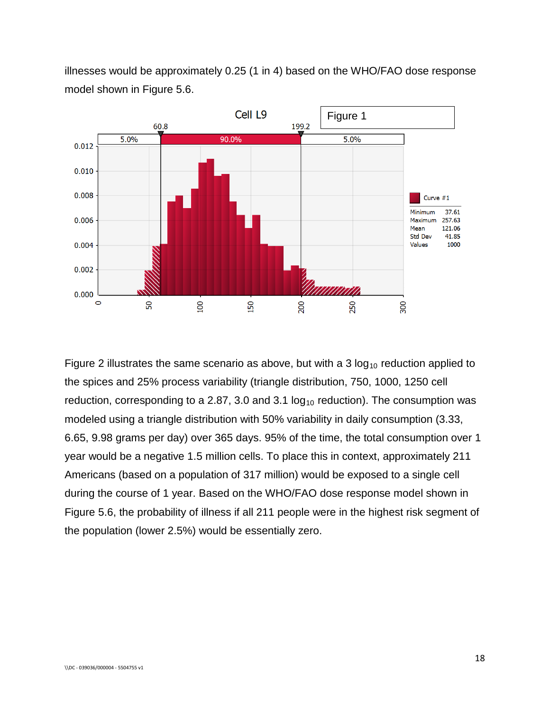illnesses would be approximately 0.25 (1 in 4) based on the WHO/FAO dose response model shown in Figure 5.6.



Figure 2 illustrates the same scenario as above, but with a 3  $log_{10}$  reduction applied to the spices and 25% process variability (triangle distribution, 750, 1000, 1250 cell reduction, corresponding to a 2.87, 3.0 and 3.1  $log_{10}$  reduction). The consumption was modeled using a triangle distribution with 50% variability in daily consumption (3.33, 6.65, 9.98 grams per day) over 365 days. 95% of the time, the total consumption over 1 year would be a negative 1.5 million cells. To place this in context, approximately 211 Americans (based on a population of 317 million) would be exposed to a single cell during the course of 1 year. Based on the WHO/FAO dose response model shown in Figure 5.6, the probability of illness if all 211 people were in the highest risk segment of the population (lower 2.5%) would be essentially zero.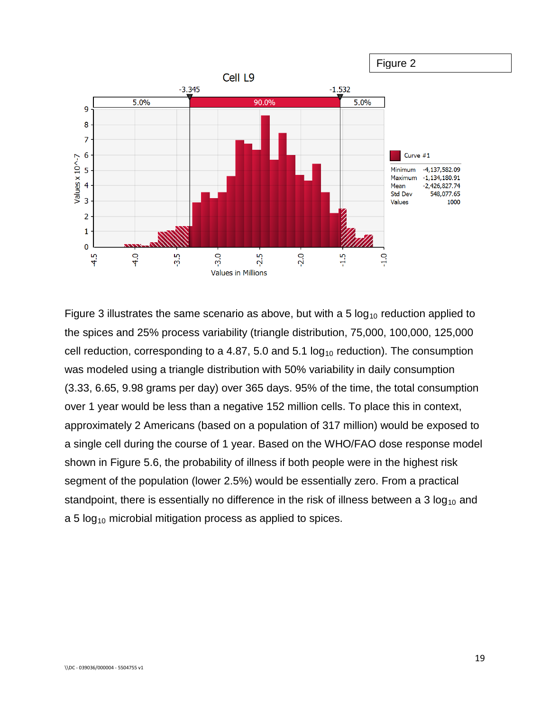

Figure 3 illustrates the same scenario as above, but with a 5  $log_{10}$  reduction applied to the spices and 25% process variability (triangle distribution, 75,000, 100,000, 125,000 cell reduction, corresponding to a 4.87, 5.0 and 5.1  $log_{10}$  reduction). The consumption was modeled using a triangle distribution with 50% variability in daily consumption (3.33, 6.65, 9.98 grams per day) over 365 days. 95% of the time, the total consumption over 1 year would be less than a negative 152 million cells. To place this in context, approximately 2 Americans (based on a population of 317 million) would be exposed to a single cell during the course of 1 year. Based on the WHO/FAO dose response model shown in Figure 5.6, the probability of illness if both people were in the highest risk segment of the population (lower 2.5%) would be essentially zero. From a practical standpoint, there is essentially no difference in the risk of illness between a 3  $log<sub>10</sub>$  and a 5  $log_{10}$  microbial mitigation process as applied to spices.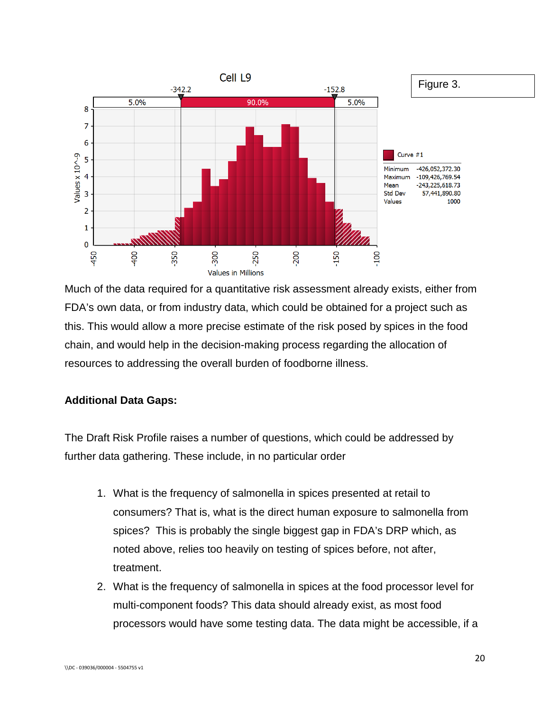

Much of the data required for a quantitative risk assessment already exists, either from FDA's own data, or from industry data, which could be obtained for a project such as this. This would allow a more precise estimate of the risk posed by spices in the food chain, and would help in the decision-making process regarding the allocation of resources to addressing the overall burden of foodborne illness.

## **Additional Data Gaps:**

The Draft Risk Profile raises a number of questions, which could be addressed by further data gathering. These include, in no particular order

- 1. What is the frequency of salmonella in spices presented at retail to consumers? That is, what is the direct human exposure to salmonella from spices? This is probably the single biggest gap in FDA's DRP which, as noted above, relies too heavily on testing of spices before, not after, treatment.
- 2. What is the frequency of salmonella in spices at the food processor level for multi-component foods? This data should already exist, as most food processors would have some testing data. The data might be accessible, if a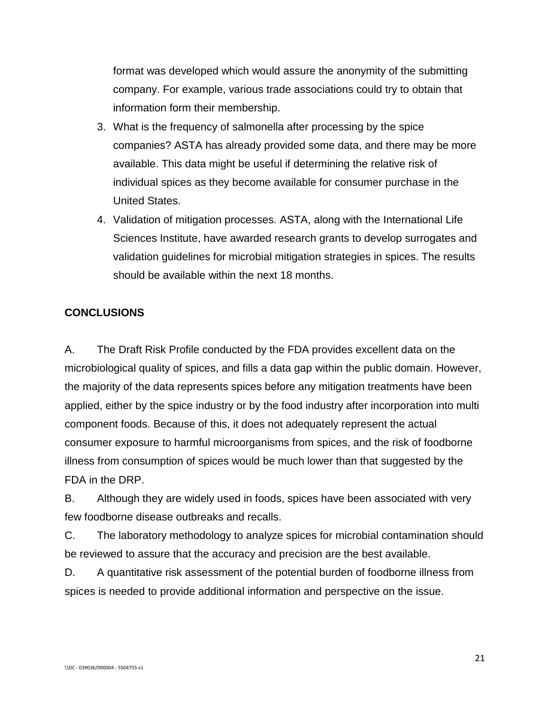format was developed which would assure the anonymity of the submitting company. For example, various trade associations could try to obtain that information form their membership.

- 3. What is the frequency of salmonella after processing by the spice companies? ASTA has already provided some data, and there may be more available. This data might be useful if determining the relative risk of individual spices as they become available for consumer purchase in the United States.
- 4. Validation of mitigation processes. ASTA, along with the International Life Sciences Institute, have awarded research grants to develop surrogates and validation guidelines for microbial mitigation strategies in spices. The results should be available within the next 18 months.

# **CONCLUSIONS**

A. The Draft Risk Profile conducted by the FDA provides excellent data on the microbiological quality of spices, and fills a data gap within the public domain. However, the majority of the data represents spices before any mitigation treatments have been applied, either by the spice industry or by the food industry after incorporation into multi component foods. Because of this, it does not adequately represent the actual consumer exposure to harmful microorganisms from spices, and the risk of foodborne illness from consumption of spices would be much lower than that suggested by the FDA in the DRP.

B. Although they are widely used in foods, spices have been associated with very few foodborne disease outbreaks and recalls.

C. The laboratory methodology to analyze spices for microbial contamination should be reviewed to assure that the accuracy and precision are the best available.

D. A quantitative risk assessment of the potential burden of foodborne illness from spices is needed to provide additional information and perspective on the issue.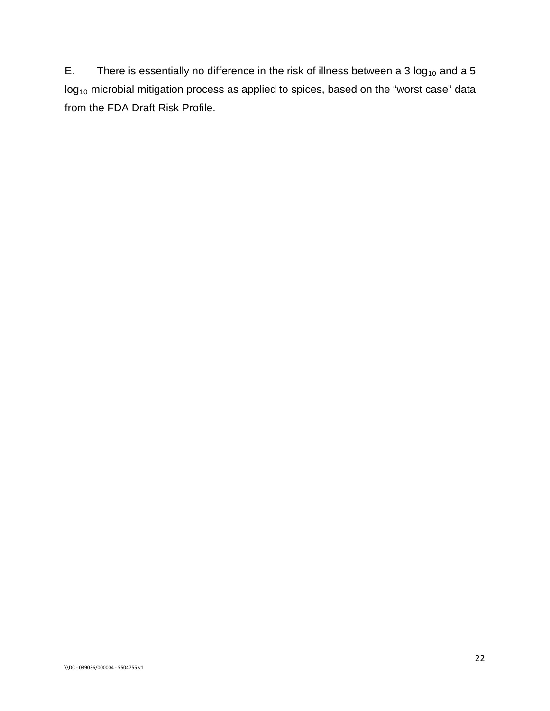E. There is essentially no difference in the risk of illness between a 3  $log_{10}$  and a 5  $log_{10}$  microbial mitigation process as applied to spices, based on the "worst case" data from the FDA Draft Risk Profile.